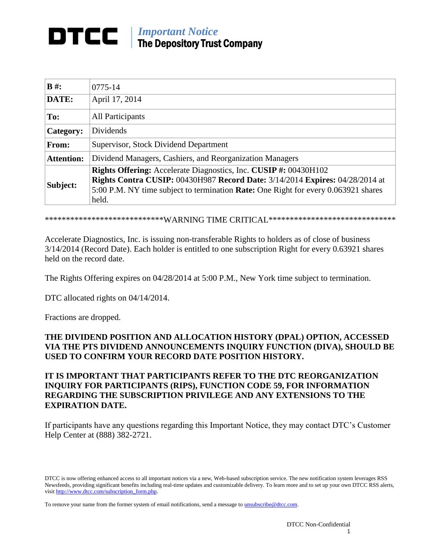## *Important Notice* DTCC I The Depository Trust Company

| $B \#$ :          | $0775 - 14$                                                                                                                                                                                                                                            |
|-------------------|--------------------------------------------------------------------------------------------------------------------------------------------------------------------------------------------------------------------------------------------------------|
| DATE:             | April 17, 2014                                                                                                                                                                                                                                         |
| To:               | All Participants                                                                                                                                                                                                                                       |
| Category:         | <b>Dividends</b>                                                                                                                                                                                                                                       |
| From:             | Supervisor, Stock Dividend Department                                                                                                                                                                                                                  |
| <b>Attention:</b> | Dividend Managers, Cashiers, and Reorganization Managers                                                                                                                                                                                               |
| Subject:          | Rights Offering: Accelerate Diagnostics, Inc. CUSIP #: 00430H102<br><b>Rights Contra CUSIP: 00430H987 Record Date: 3/14/2014 Expires: 04/28/2014 at</b><br>5:00 P.M. NY time subject to termination Rate: One Right for every 0.063921 shares<br>held. |

\*\*\*\*\*\*\*\*\*\*\*\*\*\*\*\*\*\*\*\*\*\*\*\*\*\*\*\*\*WARNING TIME CRITICAL\*\*\*\*\*\*\*\*\*\*\*\*\*\*\*\*\*\*\*\*\*\*\*\*\*\*\*\*\*\*

Accelerate Diagnostics, Inc. is issuing non-transferable Rights to holders as of close of business 3/14/2014 (Record Date). Each holder is entitled to one subscription Right for every 0.63921 shares held on the record date.

The Rights Offering expires on 04/28/2014 at 5:00 P.M., New York time subject to termination.

DTC allocated rights on 04/14/2014.

Fractions are dropped.

## **THE DIVIDEND POSITION AND ALLOCATION HISTORY (DPAL) OPTION, ACCESSED VIA THE PTS DIVIDEND ANNOUNCEMENTS INQUIRY FUNCTION (DIVA), SHOULD BE USED TO CONFIRM YOUR RECORD DATE POSITION HISTORY.**

## **IT IS IMPORTANT THAT PARTICIPANTS REFER TO THE DTC REORGANIZATION INQUIRY FOR PARTICIPANTS (RIPS), FUNCTION CODE 59, FOR INFORMATION REGARDING THE SUBSCRIPTION PRIVILEGE AND ANY EXTENSIONS TO THE EXPIRATION DATE.**

If participants have any questions regarding this Important Notice, they may contact DTC's Customer Help Center at (888) 382-2721.

DTCC is now offering enhanced access to all important notices via a new, Web-based subscription service. The new notification system leverages RSS Newsfeeds, providing significant benefits including real-time updates and customizable delivery. To learn more and to set up your own DTCC RSS alerts, visit http://www.dtcc.com/subscription\_form.php.

To remove your name from the former system of email notifications, send a message to **unsubscribe@dtcc.com**.